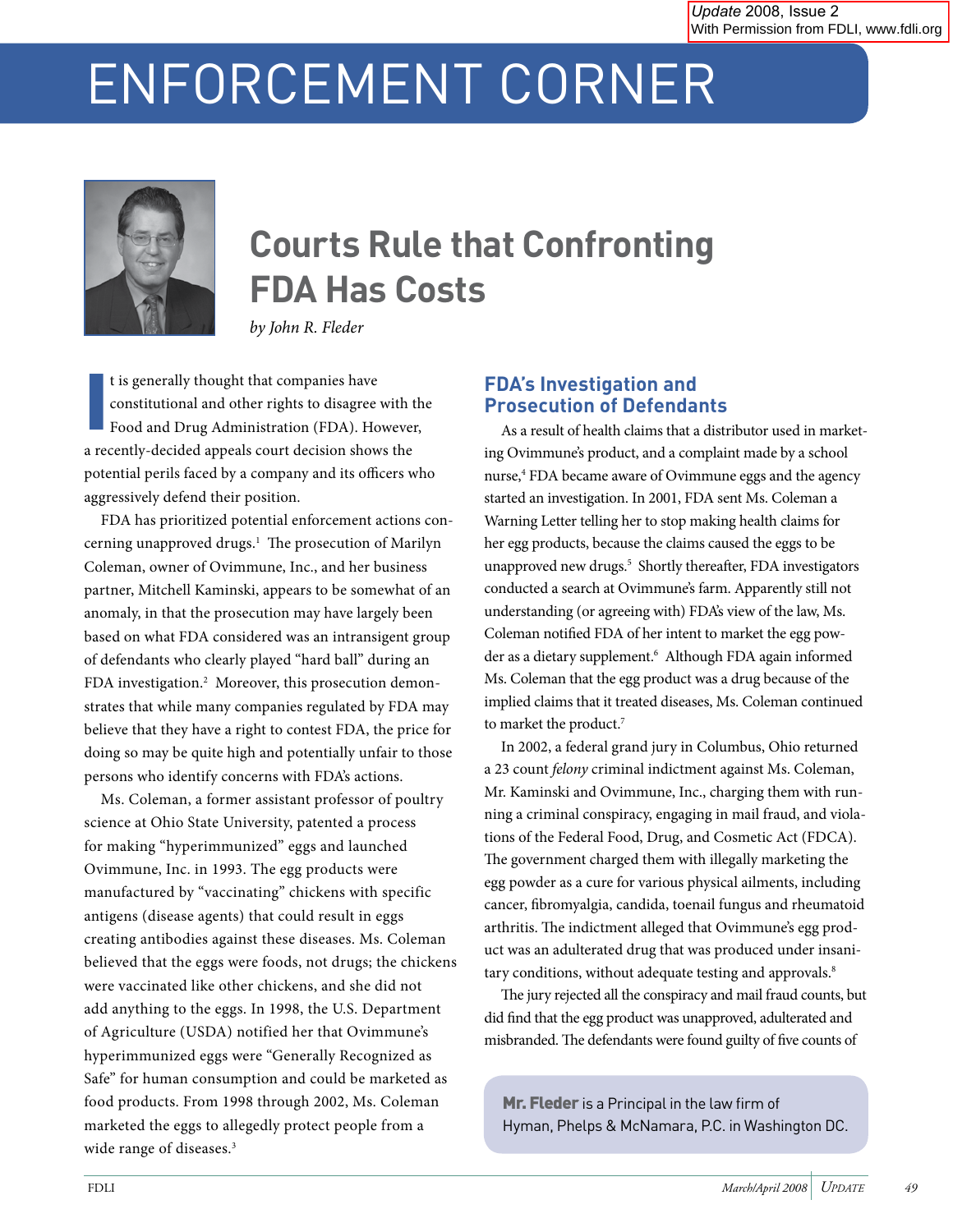# ENFORCEMENT CORNER



# **Courts Rule that Confronting FDA Has Costs**

*by John R. Fleder*

I t is generally thought that companies have constitutional and other rights to disagree with the Food and Drug Administration (FDA). However, a recently-decided appeals court decision shows the potential perils faced by a company and its officers who aggressively defend their position.

FDA has prioritized potential enforcement actions concerning unapproved drugs.<sup>1</sup> The prosecution of Marilyn Coleman, owner of Ovimmune, Inc., and her business partner, Mitchell Kaminski, appears to be somewhat of an anomaly, in that the prosecution may have largely been based on what FDA considered was an intransigent group of defendants who clearly played "hard ball" during an FDA investigation.2 Moreover, this prosecution demonstrates that while many companies regulated by FDA may believe that they have a right to contest FDA, the price for doing so may be quite high and potentially unfair to those persons who identify concerns with FDA's actions.

Ms. Coleman, a former assistant professor of poultry science at Ohio State University, patented a process for making "hyperimmunized" eggs and launched Ovimmune, Inc. in 1993. The egg products were manufactured by "vaccinating" chickens with specific antigens (disease agents) that could result in eggs creating antibodies against these diseases. Ms. Coleman believed that the eggs were foods, not drugs; the chickens were vaccinated like other chickens, and she did not add anything to the eggs. In 1998, the U.S. Department of Agriculture (USDA) notified her that Ovimmune's hyperimmunized eggs were "Generally Recognized as Safe" for human consumption and could be marketed as food products. From 1998 through 2002, Ms. Coleman marketed the eggs to allegedly protect people from a wide range of diseases.<sup>3</sup>

### **FDA's Investigation and Prosecution of Defendants**

As a result of health claims that a distributor used in marketing Ovimmune's product, and a complaint made by a school nurse,<sup>4</sup> FDA became aware of Ovimmune eggs and the agency started an investigation. In 2001, FDA sent Ms. Coleman a Warning Letter telling her to stop making health claims for her egg products, because the claims caused the eggs to be unapproved new drugs.<sup>5</sup> Shortly thereafter, FDA investigators conducted a search at Ovimmune's farm. Apparently still not understanding (or agreeing with) FDA's view of the law, Ms. Coleman notified FDA of her intent to market the egg powder as a dietary supplement.<sup>6</sup> Although FDA again informed Ms. Coleman that the egg product was a drug because of the implied claims that it treated diseases, Ms. Coleman continued to market the product.<sup>7</sup>

In 2002, a federal grand jury in Columbus, Ohio returned a 23 count *felony* criminal indictment against Ms. Coleman, Mr. Kaminski and Ovimmune, Inc., charging them with running a criminal conspiracy, engaging in mail fraud, and violations of the Federal Food, Drug, and Cosmetic Act (FDCA). The government charged them with illegally marketing the egg powder as a cure for various physical ailments, including cancer, fibromyalgia, candida, toenail fungus and rheumatoid arthritis. The indictment alleged that Ovimmune's egg product was an adulterated drug that was produced under insanitary conditions, without adequate testing and approvals.<sup>8</sup>

The jury rejected all the conspiracy and mail fraud counts, but did find that the egg product was unapproved, adulterated and misbranded. The defendants were found guilty of five counts of

Mr. Fleder is a Principal in the law firm of Hyman, Phelps & McNamara, P.C. in Washington DC.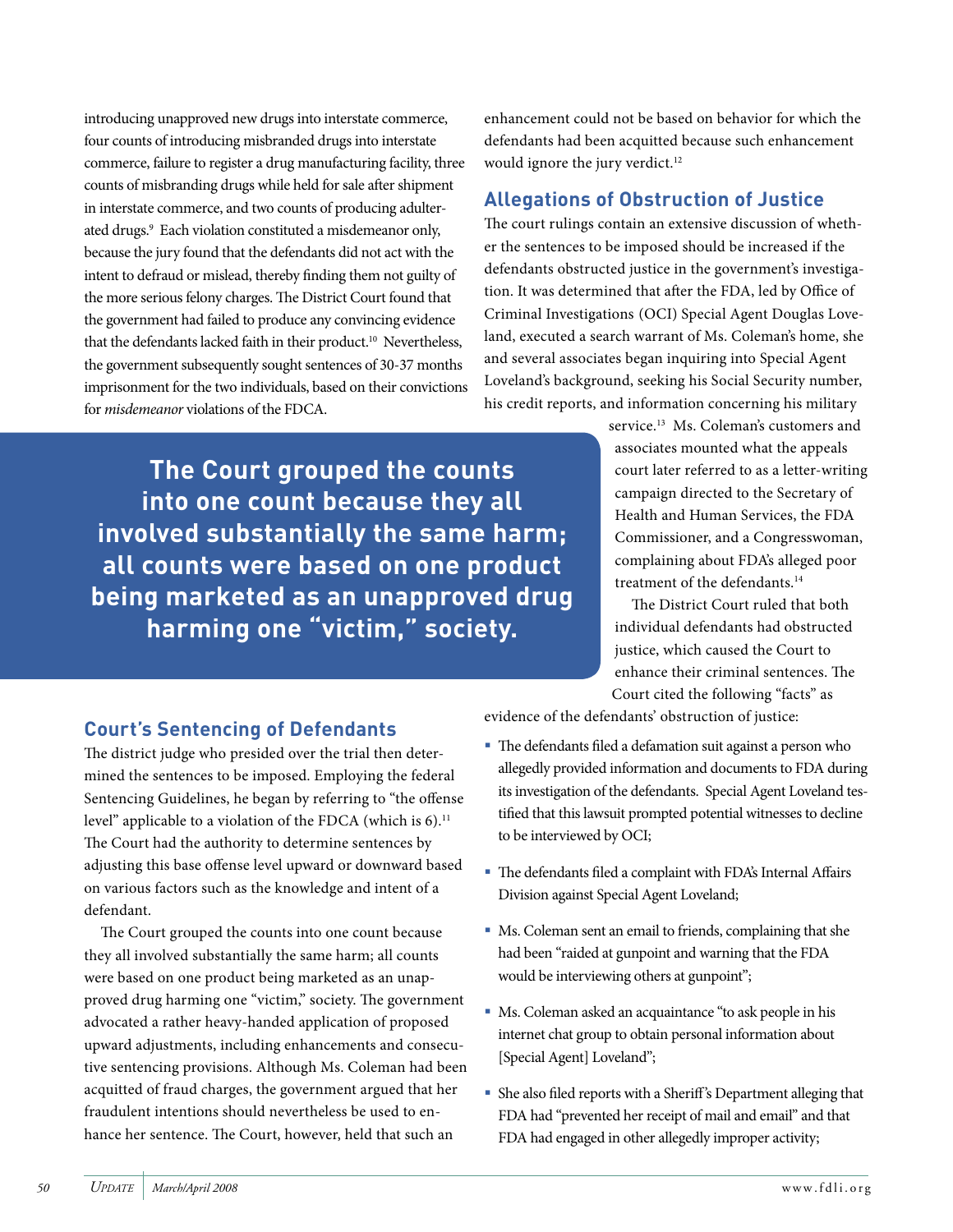introducing unapproved new drugs into interstate commerce, four counts of introducing misbranded drugs into interstate commerce, failure to register a drug manufacturing facility, three counts of misbranding drugs while held for sale after shipment in interstate commerce, and two counts of producing adulterated drugs.9 Each violation constituted a misdemeanor only, because the jury found that the defendants did not act with the intent to defraud or mislead, thereby finding them not guilty of the more serious felony charges. The District Court found that the government had failed to produce any convincing evidence that the defendants lacked faith in their product.<sup>10</sup> Nevertheless, the government subsequently sought sentences of 30-37 months imprisonment for the two individuals, based on their convictions for *misdemeanor* violations of the FDCA.

enhancement could not be based on behavior for which the defendants had been acquitted because such enhancement would ignore the jury verdict.<sup>12</sup>

#### **Allegations of Obstruction of Justice**

The court rulings contain an extensive discussion of whether the sentences to be imposed should be increased if the defendants obstructed justice in the government's investigation. It was determined that after the FDA, led by Office of Criminal Investigations (OCI) Special Agent Douglas Loveland, executed a search warrant of Ms. Coleman's home, she and several associates began inquiring into Special Agent Loveland's background, seeking his Social Security number, his credit reports, and information concerning his military

**The Court grouped the counts into one count because they all involved substantially the same harm; all counts were based on one product being marketed as an unapproved drug harming one "victim," society.**

service.<sup>13</sup> Ms. Coleman's customers and associates mounted what the appeals court later referred to as a letter-writing campaign directed to the Secretary of Health and Human Services, the FDA Commissioner, and a Congresswoman, complaining about FDA's alleged poor treatment of the defendants.<sup>14</sup>

The District Court ruled that both individual defendants had obstructed justice, which caused the Court to enhance their criminal sentences. The Court cited the following "facts" as

## **Court's Sentencing of Defendants**

The district judge who presided over the trial then determined the sentences to be imposed. Employing the federal Sentencing Guidelines, he began by referring to "the offense level" applicable to a violation of the FDCA (which is 6).<sup>11</sup> The Court had the authority to determine sentences by adjusting this base offense level upward or downward based on various factors such as the knowledge and intent of a defendant.

The Court grouped the counts into one count because they all involved substantially the same harm; all counts were based on one product being marketed as an unapproved drug harming one "victim," society. The government advocated a rather heavy-handed application of proposed upward adjustments, including enhancements and consecutive sentencing provisions. Although Ms. Coleman had been acquitted of fraud charges, the government argued that her fraudulent intentions should nevertheless be used to enhance her sentence. The Court, however, held that such an

evidence of the defendants' obstruction of justice:

- ß The defendants filed a defamation suit against a person who allegedly provided information and documents to FDA during its investigation of the defendants. Special Agent Loveland testified that this lawsuit prompted potential witnesses to decline to be interviewed by OCI;
- ß The defendants filed a complaint with FDA's Internal Affairs Division against Special Agent Loveland;
- Ms. Coleman sent an email to friends, complaining that she had been "raided at gunpoint and warning that the FDA would be interviewing others at gunpoint";
- Ms. Coleman asked an acquaintance "to ask people in his internet chat group to obtain personal information about [Special Agent] Loveland";
- **She also filed reports with a Sheriff's Department alleging that** FDA had "prevented her receipt of mail and email" and that FDA had engaged in other allegedly improper activity;